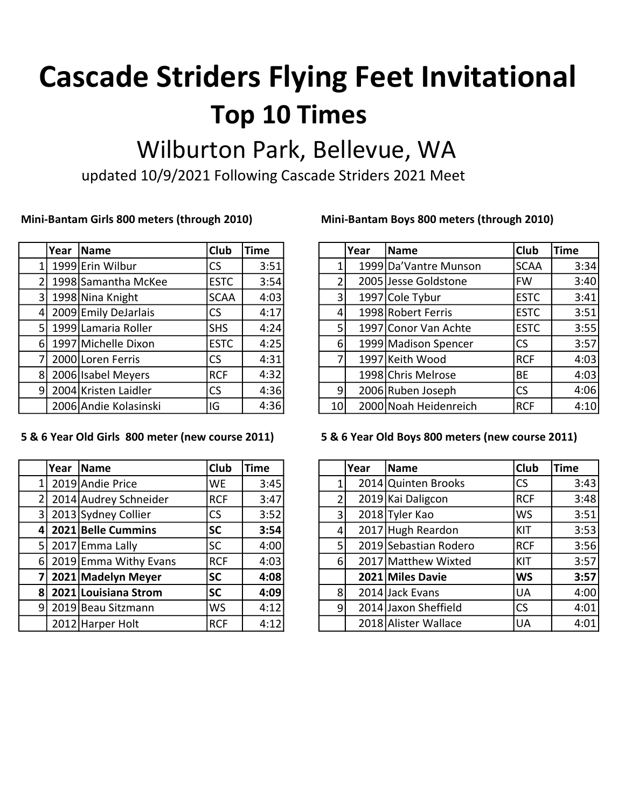# Top 10 Times Cascade Striders Flying Feet Invitational

## Wilburton Park, Bellevue, WA

updated 10/9/2021 Following Cascade Striders 2021 Meet

|                | Year | <b>Name</b>           | Club        | <b>Time</b> |
|----------------|------|-----------------------|-------------|-------------|
| 1              |      | 1999 Erin Wilbur      | CS          | 3:51        |
| $\overline{2}$ |      | 1998 Samantha McKee   | <b>ESTC</b> | 3:54        |
| 3              |      | 1998 Nina Knight      | <b>SCAA</b> | 4:03        |
| 4              |      | 2009 Emily DeJarlais  | <b>CS</b>   | 4:17        |
| 5              |      | 1999 Lamaria Roller   | <b>SHS</b>  | 4:24        |
| 6              |      | 1997 Michelle Dixon   | <b>ESTC</b> | 4:25        |
| 7              |      | 2000 Loren Ferris     | CS          | 4:31        |
| 8              |      | 2006 Isabel Meyers    | <b>RCF</b>  | 4:32        |
| 9              |      | 2004 Kristen Laidler  | CS          | 4:36        |
|                |      | 2006 Andie Kolasinski | IG          | 4:36        |

### 5 & 6 Year Old Girls 800 meter (new course 2011) 5 & 6 Year Old Boys 800 meters (new course 2011)

|   | Year | <b>Name</b>           | Club       | <b>Time</b> |
|---|------|-----------------------|------------|-------------|
| 1 |      | 2019 Andie Price      | <b>WE</b>  | 3:45        |
| 2 |      | 2014 Audrey Schneider | <b>RCF</b> | 3:47        |
| 3 |      | 2013 Sydney Collier   | <b>CS</b>  | 3:52        |
| 4 |      | 2021 Belle Cummins    | <b>SC</b>  | 3:54        |
| 5 |      | 2017 Emma Lally       | <b>SC</b>  | 4:00        |
| 6 |      | 2019 Emma Withy Evans | <b>RCF</b> | 4:03        |
| 7 |      | 2021 Madelyn Meyer    | <b>SC</b>  | 4:08        |
| 8 |      | 2021 Louisiana Strom  | <b>SC</b>  | 4:09        |
| 9 |      | 2019 Beau Sitzmann    | <b>WS</b>  | 4:12        |
|   |      | 2012 Harper Holt      | <b>RCF</b> | 4:12        |

### Mini-Bantam Girls 800 meters (through 2010) Mini-Bantam Boys 800 meters (through 2010)

| Year | <b>Name</b>             | <b>Club</b> | <b>Time</b> |                | Year | Name                   | <b>Club</b> | <b>Time</b> |
|------|-------------------------|-------------|-------------|----------------|------|------------------------|-------------|-------------|
|      | 1 1999 Erin Wilbur      | <b>CS</b>   | 3:51        |                |      | 1999 Da' Vantre Munson | <b>SCAA</b> | 3:34        |
|      | 2   1998 Samantha McKee | <b>ESTC</b> | 3:54        |                |      | 2005 Jesse Goldstone   | <b>FW</b>   | 3:40        |
|      | 3   1998 Nina Knight    | <b>SCAA</b> | 4:03        | 3 <sub>l</sub> |      | 1997 Cole Tybur        | <b>ESTC</b> | 3:41        |
|      | 4 2009 Emily DeJarlais  | CS          | 4:17        | 4              |      | 1998 Robert Ferris     | <b>ESTC</b> | 3:51        |
|      | 5   1999 Lamaria Roller | <b>SHS</b>  | 4:24        | 5 <sub>1</sub> |      | 1997 Conor Van Achte   | <b>ESTC</b> | 3:55        |
|      | 6  1997 Michelle Dixon  | <b>ESTC</b> | 4:25        | $6 \mid$       |      | 1999 Madison Spencer   | ICS         | 3:57        |
|      | 7 2000 Loren Ferris     | CS          | 4:31        |                |      | 1997 Keith Wood        | <b>RCF</b>  | 4:03        |
|      | 8 2006 Isabel Meyers    | <b>RCF</b>  | 4:32        |                |      | 1998 Chris Melrose     | <b>BE</b>   | 4:03        |
|      | 9 2004 Kristen Laidler  | CS          | 4:36        | 9 <sub>l</sub> |      | 2006 Ruben Joseph      | lcs         | 4:06        |
|      | 2006 Andie Kolasinski   | IG          | 4:36        | 10             |      | 2000 Noah Heidenreich  | <b>RCF</b>  | 4:10        |

| Year | <b>Name</b>             | <b>Club</b> | <b>Time</b> |  |          | Year | <b>Name</b>           | Club       | <b>Time</b> |
|------|-------------------------|-------------|-------------|--|----------|------|-----------------------|------------|-------------|
|      | 1 2019 Andie Price      | <b>WE</b>   | 3:45        |  |          |      | 2014 Quinten Brooks   | <b>CS</b>  | 3:43        |
|      | 2 2014 Audrey Schneider | <b>RCF</b>  | 3:47        |  | 2        |      | 2019 Kai Daligcon     | <b>RCF</b> | 3:48        |
|      | 3 2013 Sydney Collier   | <b>CS</b>   | 3:52        |  | 3        |      | 2018 Tyler Kao        | <b>WS</b>  | 3:51        |
|      | 4 2021 Belle Cummins    | <b>SC</b>   | 3:54        |  | 4        |      | 2017 Hugh Reardon     | KIT        | 3:53        |
|      | 5 2017 Emma Lally       | <b>SC</b>   | 4:00        |  | 5        |      | 2019 Sebastian Rodero | <b>RCF</b> | 3:56        |
|      | 6 2019 Emma Withy Evans | <b>RCF</b>  | 4:03        |  | $6 \mid$ |      | 2017 Matthew Wixted   | KIT        | 3:57        |
|      | 7 2021 Madelyn Meyer    | <b>SC</b>   | 4:08        |  |          |      | 2021 Miles Davie      | <b>WS</b>  | 3:57        |
|      | 8 2021 Louisiana Strom  | <b>SC</b>   | 4:09        |  | 8        |      | 2014 Jack Evans       | UA         | 4:00        |
|      | 9  2019 Beau Sitzmann   | <b>WS</b>   | 4:12        |  | 9        |      | 2014 Jaxon Sheffield  | CS         | 4:01        |
|      | 2012 Harper Holt        | <b>RCF</b>  | 4:12        |  |          |      | 2018 Alister Wallace  | UA         | 4:01        |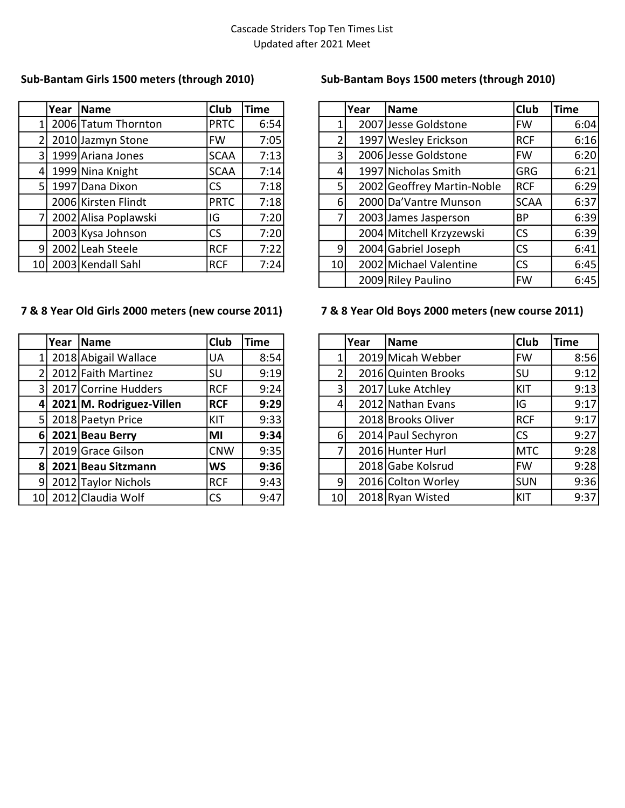|                | Year | Name                 | <b>Club</b> | <b>Time</b> |
|----------------|------|----------------------|-------------|-------------|
| 1              |      | 2006 Tatum Thornton  | <b>PRTC</b> | 6:54        |
| $\overline{2}$ |      | 2010 Jazmyn Stone    | <b>FW</b>   | 7:05        |
| 3              |      | 1999 Ariana Jones    | <b>SCAA</b> | 7:13        |
| $\overline{4}$ |      | 1999 Nina Knight     | <b>SCAA</b> | 7:14        |
| 5 <sub>l</sub> |      | 1997 Dana Dixon      | <b>CS</b>   | 7:18        |
|                |      | 2006 Kirsten Flindt  | <b>PRTC</b> | 7:18        |
| 71             |      | 2002 Alisa Poplawski | IG          | 7:20        |
|                |      | 2003 Kysa Johnson    | <b>CS</b>   | 7:20        |
| 9              |      | 2002 Leah Steele     | <b>RCF</b>  | 7:22        |
| 10             |      | 2003 Kendall Sahl    | <b>RCF</b>  | 7:24        |

### 7 & 8 Year Old Girls 2000 meters (new course 2011) 7 & 8 Year Old Boys 2000 meters (new course 2011)

|                 | Year | Name                     | <b>Club</b> | <b>Time</b> |
|-----------------|------|--------------------------|-------------|-------------|
| 1               |      | 2018 Abigail Wallace     | <b>UA</b>   | 8:54        |
| $\overline{2}$  |      | 2012 Faith Martinez      | SU          | 9:19        |
| 3               |      | 2017 Corrine Hudders     | <b>RCF</b>  | 9:24        |
| 4               |      | 2021 M. Rodriguez-Villen | <b>RCF</b>  | 9:29        |
| 5               |      | 2018 Paetyn Price        | KIT         | 9:33        |
| 6               |      | 2021 Beau Berry          | MI          | 9:34        |
| 7               |      | 2019 Grace Gilson        | <b>CNW</b>  | 9:35        |
| 8               |      | 2021 Beau Sitzmann       | <b>WS</b>   | 9:36        |
| 9               |      | 2012 Taylor Nichols      | <b>RCF</b>  | 9:43        |
| 10 <sub>l</sub> |      | 2012 Claudia Wolf        | CS          | 9:47        |

### Sub-Bantam Girls 1500 meters (through 2010) Sub-Bantam Boys 1500 meters (through 2010)

|                | Year | <b>Name</b>          | Club        | <b>Time</b> |                 | Year | <b>Name</b>                | Club        | <b>Time</b> |
|----------------|------|----------------------|-------------|-------------|-----------------|------|----------------------------|-------------|-------------|
|                |      | 2006 Tatum Thornton  | <b>PRTC</b> | 6:54        |                 |      | 2007 Jesse Goldstone       | <b>FW</b>   | 6:04        |
|                |      | 2010 Jazmyn Stone    | <b>FW</b>   | 7:05        | 2               |      | 1997 Wesley Erickson       | <b>RCF</b>  | 6:16        |
| 3 <sup>1</sup> |      | 1999 Ariana Jones    | <b>SCAA</b> | 7:13        | 3               |      | 2006 Jesse Goldstone       | <b>FW</b>   | 6:20        |
| $\Delta$       |      | 1999 Nina Knight     | <b>SCAA</b> | 7:14        | 4               |      | 1997 Nicholas Smith        | <b>GRG</b>  | 6:21        |
| 51             |      | 1997 Dana Dixon      | <b>CS</b>   | 7:18        | 5               |      | 2002 Geoffrey Martin-Noble | <b>RCF</b>  | 6:29        |
|                |      | 2006 Kirsten Flindt  | <b>PRTC</b> | 7:18        | $6 \mid$        |      | 2000 Da' Vantre Munson     | <b>SCAA</b> | 6:37        |
|                |      | 2002 Alisa Poplawski | IG.         | 7:20        | 7               |      | 2003 James Jasperson       | BP          | 6:39        |
|                |      | 2003 Kysa Johnson    | CS          | 7:20        |                 |      | 2004 Mitchell Krzyzewski   | <b>CS</b>   | 6:39        |
| 91             |      | 2002 Leah Steele     | <b>RCF</b>  | 7:22        | $\overline{9}$  |      | 2004 Gabriel Joseph        | <b>CS</b>   | 6:41        |
|                |      | 10 2003 Kendall Sahl | RCF         | 7:24        | 10 <sup>1</sup> |      | 2002 Michael Valentine     | <b>CS</b>   | 6:45        |
|                |      |                      |             |             |                 |      | 2009 Riley Paulino         | <b>FW</b>   | 6:45        |

|    | Year | Name                     | <b>Club</b> | <b>Time</b> |                  | Year | Name                | <b>Club</b> | <b>Time</b> |
|----|------|--------------------------|-------------|-------------|------------------|------|---------------------|-------------|-------------|
|    |      | 2018 Abigail Wallace     | UA          | 8:54        |                  |      | 2019 Micah Webber   | <b>FW</b>   | 8:56        |
|    |      | 2012 Faith Martinez      | lsu         | 9:19        | 2                |      | 2016 Quinten Brooks | <b>SU</b>   | 9:12        |
|    |      | 3 2017 Corrine Hudders   | <b>RCF</b>  | 9:24        | $\overline{3}$   |      | 2017 Luke Atchley   | KIT         | 9:13        |
| 41 |      | 2021 M. Rodriguez-Villen | <b>RCF</b>  | 9:29        | $\overline{4}$   |      | 2012 Nathan Evans   | IG          | 9:17        |
|    |      | 5 2018 Paetyn Price      | KIT         | 9:33        |                  |      | 2018 Brooks Oliver  | <b>RCF</b>  | 9:17        |
|    |      | $6 2021 $ Beau Berry     | MI          | 9:34        | $6 \overline{6}$ |      | 2014 Paul Sechyron  | <b>CS</b>   | 9:27        |
|    |      | 2019 Grace Gilson        | <b>CNW</b>  | 9:35        | 7                |      | 2016 Hunter Hurl    | <b>MTC</b>  | 9:28        |
|    |      | 8 2021 Beau Sitzmann     | WS          | 9:36        |                  |      | 2018 Gabe Kolsrud   | <b>FW</b>   | 9:28        |
|    |      | 9 2012 Taylor Nichols    | <b>RCF</b>  | 9:43        | 9 <sub>l</sub>   |      | 2016 Colton Worley  | lsun        | 9:36        |
|    |      | 10 2012 Claudia Wolf     | CS          | 9:47        | 10 <sup>1</sup>  |      | 2018 Ryan Wisted    | KIT         | 9:37        |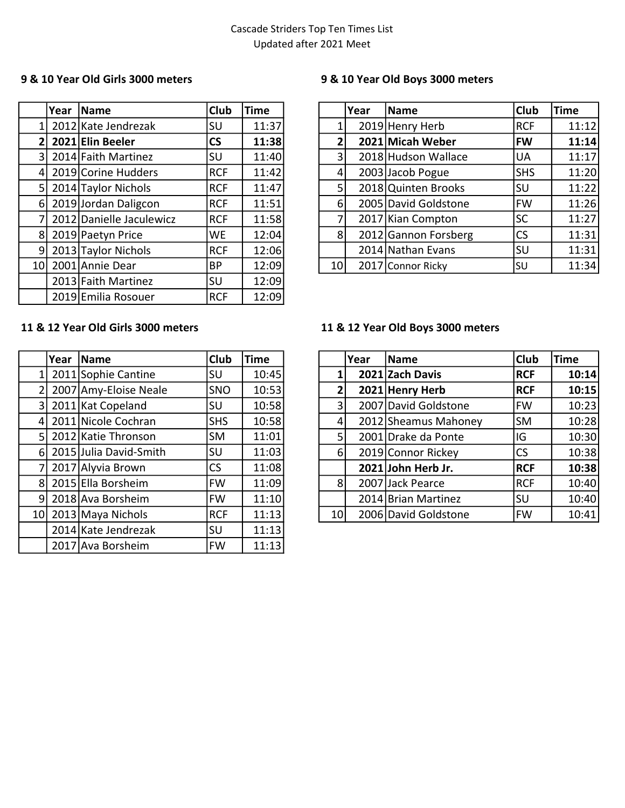|                | Year | <b>Name</b>              | <b>Club</b>              | <b>Time</b> |
|----------------|------|--------------------------|--------------------------|-------------|
| $\mathbf{1}$   |      | 2012 Kate Jendrezak      | SU                       | 11:37       |
| $\overline{2}$ |      | 2021 Elin Beeler         | $\mathsf{CS}\phantom{0}$ | 11:38       |
| 3              |      | 2014 Faith Martinez      | SU                       | 11:40       |
| 4              |      | 2019 Corine Hudders      | <b>RCF</b>               | 11:42       |
| 5              |      | 2014 Taylor Nichols      | <b>RCF</b>               | 11:47       |
| 6              |      | 2019 Jordan Daligcon     | <b>RCF</b>               | 11:51       |
| 7              |      | 2012 Danielle Jaculewicz | <b>RCF</b>               | 11:58       |
| 8              |      | 2019 Paetyn Price        | <b>WE</b>                | 12:04       |
| 9              |      | 2013 Taylor Nichols      | <b>RCF</b>               | 12:06       |
| 10             |      | 2001 Annie Dear          | BP                       | 12:09       |
|                |      | 2013 Faith Martinez      | SU                       | 12:09       |
|                |      | 2019 Emilia Rosouer      | <b>RCF</b>               | 12:09       |

### 9 & 10 Year Old Girls 3000 meters 9 & 10 Year Old Boys 3000 meters

|     | Year | <b>Name</b>              | <b>Club</b> | <b>Time</b> |                | Year | Name                 | <b>Club</b> | <b>Time</b> |
|-----|------|--------------------------|-------------|-------------|----------------|------|----------------------|-------------|-------------|
|     |      | 2012 Kate Jendrezak      | <b>SU</b>   | 11:37       |                |      | 2019 Henry Herb      | <b>RCF</b>  | 11:12       |
|     |      | $2 2021 $ Elin Beeler    | <b>CS</b>   | 11:38       | 2              |      | 2021 Micah Weber     | <b>FW</b>   | 11:14       |
|     |      | 3 2014 Faith Martinez    | <b>SU</b>   | 11:40       | $\overline{3}$ |      | 2018 Hudson Wallace  | <b>UA</b>   | 11:17       |
|     |      | 4 2019 Corine Hudders    | <b>RCF</b>  | 11:42       | 4              |      | 2003 Jacob Pogue     | <b>SHS</b>  | 11:20       |
| 5I. |      | 2014 Taylor Nichols      | <b>RCF</b>  | 11:47       | 5              |      | 2018 Quinten Brooks  | SU          | 11:22       |
| 6I  |      | 2019 Jordan Daligcon     | <b>RCF</b>  | 11:51       | 6              |      | 2005 David Goldstone | IFW         | 11:26       |
|     |      | 2012 Danielle Jaculewicz | <b>RCF</b>  | 11:58       | 7              |      | 2017 Kian Compton    | <b>SC</b>   | 11:27       |
|     |      | 8 2019 Paetyn Price      | <b>WE</b>   | 12:04       | 8              |      | 2012 Gannon Forsberg | <b>CS</b>   | 11:31       |
| 91  |      | 2013 Taylor Nichols      | <b>RCF</b>  | 12:06       |                |      | 2014 Nathan Evans    | <b>SU</b>   | 11:31       |
|     |      | 10 2001 Annie Dear       | <b>BP</b>   | 12:09       | 10             |      | 2017 Connor Ricky    | <b>SU</b>   | 11:34       |

### 11 & 12 Year Old Girls 3000 meters 11 & 12 Year Old Boys 3000 meters

|                | Year | <b>Name</b>            | <b>Club</b> | <b>Time</b> |
|----------------|------|------------------------|-------------|-------------|
| 1              |      | 2011 Sophie Cantine    | SU          | 10:45       |
| $\overline{2}$ |      | 2007 Amy-Eloise Neale  | <b>SNO</b>  | 10:53       |
| 3              |      | 2011 Kat Copeland      | SU          | 10:58       |
| 4              |      | 2011 Nicole Cochran    | <b>SHS</b>  | 10:58       |
| 5              |      | 2012 Katie Thronson    | <b>SM</b>   | 11:01       |
| 6              |      | 2015 Julia David-Smith | SU          | 11:03       |
| 7              |      | 2017 Alyvia Brown      | <b>CS</b>   | 11:08       |
| 8              |      | 2015 Ella Borsheim     | <b>FW</b>   | 11:09       |
| 9              |      | 2018 Ava Borsheim      | FW          | 11:10       |
| 10             |      | 2013 Maya Nichols      | <b>RCF</b>  | 11:13       |
|                |      | 2014 Kate Jendrezak    | SU          | 11:13       |
|                |      | 2017 Ava Borsheim      | FW          | 11:13       |

|                | Year | <b>Name</b>            | <b>Club</b> | <b>Time</b> |                | Year | Name                 | <b>Club</b> | <b>Time</b> |
|----------------|------|------------------------|-------------|-------------|----------------|------|----------------------|-------------|-------------|
|                |      | 2011 Sophie Cantine    | SU          | 10:45       |                |      | 2021 Zach Davis      | <b>RCF</b>  | 10:14       |
|                |      | 2007 Amy-Eloise Neale  | <b>SNO</b>  | 10:53       | 2              |      | 2021 Henry Herb      | <b>RCF</b>  | 10:15       |
| 3 <sup>1</sup> |      | 2011 Kat Copeland      | SU          | 10:58       | $\overline{3}$ |      | 2007 David Goldstone | lFW         | 10:23       |
| 41             |      | 2011 Nicole Cochran    | <b>SHS</b>  | 10:58       | 4              |      | 2012 Sheamus Mahoney | lsM         | 10:28       |
|                |      | 5 2012 Katie Thronson  | <b>SM</b>   | 11:01       | 5              |      | 2001 Drake da Ponte  | IG          | 10:30       |
| 6I.            |      | 2015 Julia David-Smith | lsu         | 11:03       | $6 \mid$       |      | 2019 Connor Rickey   | <b>CS</b>   | 10:38       |
|                |      | 2017 Alyvia Brown      | <b>CS</b>   | 11:08       |                |      | 2021 John Herb Jr.   | <b>RCF</b>  | 10:38       |
|                |      | 8 2015 Ella Borsheim   | FW          | 11:09       | 8 <sup>1</sup> |      | 2007 Jack Pearce     | <b>RCF</b>  | 10:40       |
| 91             |      | 2018 Ava Borsheim      | FW          | 11:10       |                |      | 2014 Brian Martinez  | <b>SU</b>   | 10:40       |
| 10 l           |      | 2013 Maya Nichols      | <b>RCF</b>  | 11:13       | 10l            |      | 2006 David Goldstone | IFW         | 10:41       |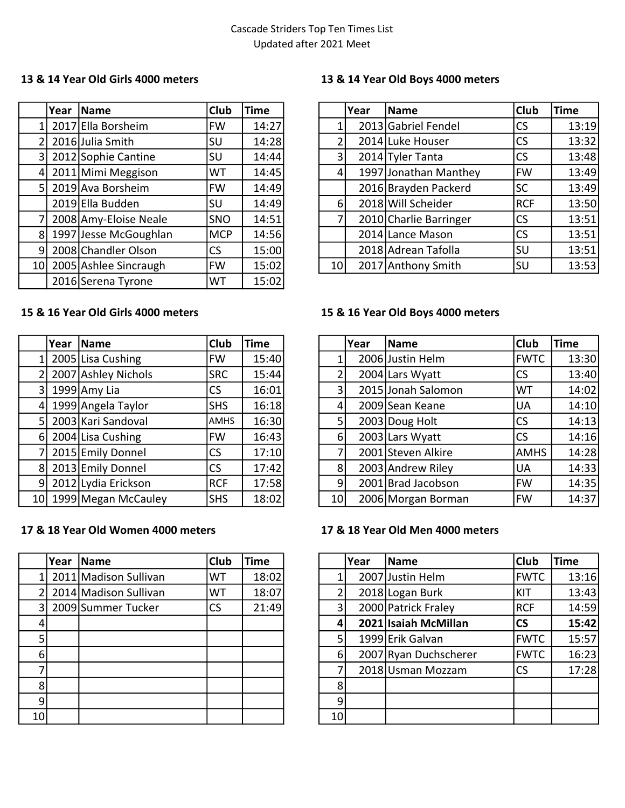|                 | Year | <b>Name</b>           | Club       | <b>Time</b> |
|-----------------|------|-----------------------|------------|-------------|
| 1               |      | 2017 Ella Borsheim    | <b>FW</b>  | 14:27       |
| $\overline{2}$  |      | 2016 Julia Smith      | SU         | 14:28       |
| 3               |      | 2012 Sophie Cantine   | SU         | 14:44       |
| 4               |      | 2011 Mimi Meggison    | <b>WT</b>  | 14:45       |
| 5 <sub>l</sub>  |      | 2019 Ava Borsheim     | <b>FW</b>  | 14:49       |
|                 |      | 2019 Ella Budden      | SU         | 14:49       |
| $\overline{7}$  |      | 2008 Amy-Eloise Neale | SNO        | 14:51       |
| 8               |      | 1997 Jesse McGoughlan | <b>MCP</b> | 14:56       |
| 9               |      | 2008 Chandler Olson   | CS         | 15:00       |
| 10 <sub>1</sub> |      | 2005 Ashlee Sincraugh | <b>FW</b>  | 15:02       |
|                 |      | 2016 Serena Tyrone    | WT         | 15:02       |

### 13 & 14 Year Old Girls 4000 meters 13 & 14 Year Old Boys 4000 meters

|                | Year | <b>Name</b>           | <b>Club</b> | <b>Time</b> |                  | Year | Name                   | <b>Club</b> | <b>Time</b> |
|----------------|------|-----------------------|-------------|-------------|------------------|------|------------------------|-------------|-------------|
|                |      | 2017 Ella Borsheim    | <b>FW</b>   | 14:27       |                  |      | 2013 Gabriel Fendel    | <b>CS</b>   | 13:19       |
|                |      | 2016 Julia Smith      | <b>SU</b>   | 14:28       | 2                |      | 2014 Luke Houser       | <b>CS</b>   | 13:32       |
| 3 <sup>1</sup> |      | 2012 Sophie Cantine   | <b>SU</b>   | 14:44       | $\overline{3}$   |      | 2014 Tyler Tanta       | <b>CS</b>   | 13:48       |
| 41             |      | 2011 Mimi Meggison    | <b>WT</b>   | 14:45       | 4                |      | 1997 Jonathan Manthey  | FW          | 13:49       |
|                |      | 5 2019 Ava Borsheim   | FW          | 14:49       |                  |      | 2016 Brayden Packerd   | <b>SC</b>   | 13:49       |
|                |      | 2019 Ella Budden      | <b>SU</b>   | 14:49       | $6 \overline{6}$ |      | 2018 Will Scheider     | <b>RCF</b>  | 13:50       |
|                |      | 2008 Amy-Eloise Neale | <b>SNO</b>  | 14:51       | 7                |      | 2010 Charlie Barringer | <b>CS</b>   | 13:51       |
| 8 <sup>1</sup> |      | 1997 Jesse McGoughlan | <b>MCP</b>  | 14:56       |                  |      | 2014 Lance Mason       | <b>CS</b>   | 13:51       |
| 91             |      | 2008 Chandler Olson   | <b>CS</b>   | 15:00       |                  |      | 2018 Adrean Tafolla    | <b>SU</b>   | 13:51       |
| 10 l           |      | 2005 Ashlee Sincraugh | FW          | 15:02       | 10l              |      | 2017 Anthony Smith     | <b>SU</b>   | 13:53       |

|                 | Year  Name          | Club        | <b>Time</b> |
|-----------------|---------------------|-------------|-------------|
| 1               | 2005 Lisa Cushing   | <b>FW</b>   | 15:40       |
| 2               | 2007 Ashley Nichols | <b>SRC</b>  | 15:44       |
| 3               | 1999 Amy Lia        | <b>CS</b>   | 16:01       |
| 4               | 1999 Angela Taylor  | <b>SHS</b>  | 16:18       |
| 5               | 2003 Kari Sandoval  | <b>AMHS</b> | 16:30       |
| 6               | 2004 Lisa Cushing   | <b>FW</b>   | 16:43       |
| 7               | 2015 Emily Donnel   | CS          | 17:10       |
| 8               | 2013 Emily Donnel   | <b>CS</b>   | 17:42       |
| 9               | 2012 Lydia Erickson | <b>RCF</b>  | 17:58       |
| 10 <sup>1</sup> | 1999 Megan McCauley | <b>SHS</b>  | 18:02       |

### 17 & 18 Year Old Women 4000 meters 17 & 18 Year Old Men 4000 meters

|                | Year | <b>Name</b>           | <b>Club</b> | <b>Time</b> |                |
|----------------|------|-----------------------|-------------|-------------|----------------|
| 1              |      | 2011 Madison Sullivan | WT          | 18:02       |                |
| $\overline{2}$ |      | 2014 Madison Sullivan | WT          | 18:07       | $\overline{2}$ |
| 3              |      | 2009 Summer Tucker    | <b>CS</b>   | 21:49       | 3              |
| 4              |      |                       |             |             | 4              |
| 5              |      |                       |             |             | 5              |
| 6              |      |                       |             |             | 6              |
|                |      |                       |             |             | 7              |
| 8              |      |                       |             |             | 8              |
| ٩              |      |                       |             |             | 9              |
| 10             |      |                       |             |             | 10             |

### 15 & 16 Year Old Girls 4000 meters 15 & 16 Year Old Boys 4000 meters

|                | Year | Name                | <b>Club</b> | <b>Time</b> |                  | Year | Name               | <b>Club</b> | <b>Time</b> |
|----------------|------|---------------------|-------------|-------------|------------------|------|--------------------|-------------|-------------|
|                |      | 2005 Lisa Cushing   | FW          | 15:40       |                  |      | 2006 Justin Helm   | <b>FWTC</b> | 13:30       |
|                |      | 2007 Ashley Nichols | <b>SRC</b>  | 15:44       | 2                |      | 2004 Lars Wyatt    | <b>CS</b>   | 13:40       |
| 3 <sup>1</sup> |      | 1999 $Amy$ Lia      | <b>CS</b>   | 16:01       | $\overline{3}$   |      | 2015 Jonah Salomon | WT          | 14:02       |
| 4 <sup>1</sup> |      | 1999 Angela Taylor  | <b>SHS</b>  | 16:18       | 4                |      | 2009 Sean Keane    | <b>UA</b>   | 14:10       |
| 51.            |      | 2003 Kari Sandoval  | <b>AMHS</b> | 16:30       | 5                |      | 2003 Doug Holt     | <b>CS</b>   | 14:13       |
| 6I             |      | 2004 Lisa Cushing   | <b>FW</b>   | 16:43       | $6 \overline{6}$ |      | 2003 Lars Wyatt    | <b>CS</b>   | 14:16       |
|                |      | 2015 Emily Donnel   | <b>CS</b>   | 17:10       | 7                |      | 2001 Steven Alkire | <b>AMHS</b> | 14:28       |
| 81             |      | 2013 Emily Donnel   | <b>CS</b>   | 17:42       | 8                |      | 2003 Andrew Riley  | <b>UA</b>   | 14:33       |
| 91             |      | 2012 Lydia Erickson | <b>RCF</b>  | 17:58       | $\overline{9}$   |      | 2001 Brad Jacobson | <b>FW</b>   | 14:35       |
| 10 l           |      | 1999 Megan McCauley | <b>SHS</b>  | 18:02       | 10 <sup>1</sup>  |      | 2006 Morgan Borman | IFW         | 14:37       |

|    | Year | Name                    | <b>Club</b> | <b>Time</b> |                 | Year | <b>Name</b>           | <b>Club</b> | <b>Time</b> |
|----|------|-------------------------|-------------|-------------|-----------------|------|-----------------------|-------------|-------------|
|    |      | 2011 Madison Sullivan   | WT.         | 18:02       |                 |      | 2007 Justin Helm      | <b>FWTC</b> | 13:16       |
|    |      | 2 2014 Madison Sullivan | WT.         | 18:07       |                 |      | 2018 Logan Burk       | KIT         | 13:43       |
|    |      | 3 2009 Summer Tucker    | CS.         | 21:49       | 3               |      | 2000 Patrick Fraley   | <b>RCF</b>  | 14:59       |
| 41 |      |                         |             |             | 4               |      | 2021 Isaiah McMillan  | <b>CS</b>   | 15:42       |
| 5  |      |                         |             |             |                 |      | 1999 Erik Galvan      | <b>FWTC</b> | 15:57       |
| 6  |      |                         |             |             | 6               |      | 2007 Ryan Duchscherer | <b>FWTC</b> | 16:23       |
| 71 |      |                         |             |             |                 |      | 2018 Usman Mozzam     | <b>CS</b>   | 17:28       |
| 8  |      |                         |             |             | 8               |      |                       |             |             |
| 9l |      |                         |             |             | 9               |      |                       |             |             |
| ٥l |      |                         |             |             | 10 <sup>1</sup> |      |                       |             |             |